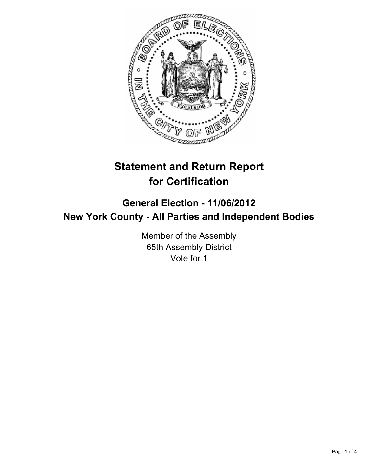

# **Statement and Return Report for Certification**

## **General Election - 11/06/2012 New York County - All Parties and Independent Bodies**

Member of the Assembly 65th Assembly District Vote for 1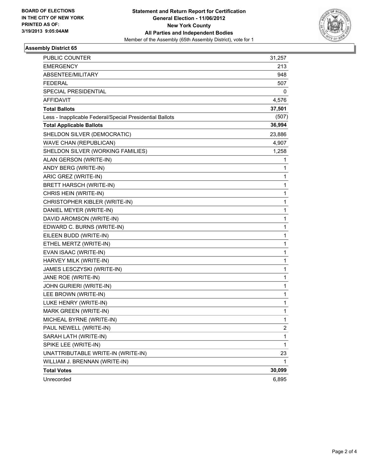

#### **Assembly District 65**

| <b>PUBLIC COUNTER</b>                                    | 31,257       |
|----------------------------------------------------------|--------------|
| <b>EMERGENCY</b>                                         | 213          |
| ABSENTEE/MILITARY                                        | 948          |
| FEDERAL                                                  | 507          |
| SPECIAL PRESIDENTIAL                                     | 0            |
| AFFIDAVIT                                                | 4,576        |
| <b>Total Ballots</b>                                     | 37,501       |
| Less - Inapplicable Federal/Special Presidential Ballots | (507)        |
| <b>Total Applicable Ballots</b>                          | 36,994       |
| SHELDON SILVER (DEMOCRATIC)                              | 23,886       |
| <b>WAVE CHAN (REPUBLICAN)</b>                            | 4,907        |
| SHELDON SILVER (WORKING FAMILIES)                        | 1,258        |
| ALAN GERSON (WRITE-IN)                                   | 1            |
| ANDY BERG (WRITE-IN)                                     | 1            |
| ARIC GREZ (WRITE-IN)                                     | 1            |
| BRETT HARSCH (WRITE-IN)                                  | 1            |
| CHRIS HEIN (WRITE-IN)                                    | 1            |
| CHRISTOPHER KIBLER (WRITE-IN)                            | 1            |
| DANIEL MEYER (WRITE-IN)                                  | 1            |
| DAVID AROMSON (WRITE-IN)                                 | $\mathbf 1$  |
| EDWARD C. BURNS (WRITE-IN)                               | 1            |
| EILEEN BUDD (WRITE-IN)                                   | 1            |
| ETHEL MERTZ (WRITE-IN)                                   | 1            |
| EVAN ISAAC (WRITE-IN)                                    | 1            |
| HARVEY MILK (WRITE-IN)                                   | 1            |
| JAMES LESCZYSKI (WRITE-IN)                               | $\mathbf 1$  |
| JANE ROE (WRITE-IN)                                      | 1            |
| JOHN GURIERI (WRITE-IN)                                  | 1            |
| LEE BROWN (WRITE-IN)                                     | 1            |
| LUKE HENRY (WRITE-IN)                                    | 1            |
| MARK GREEN (WRITE-IN)                                    | 1            |
| MICHEAL BYRNE (WRITE-IN)                                 | 1            |
| PAUL NEWELL (WRITE-IN)                                   | $\mathbf{2}$ |
| SARAH LATH (WRITE-IN)                                    | 1            |
| SPIKE LEE (WRITE-IN)                                     | 1            |
| UNATTRIBUTABLE WRITE-IN (WRITE-IN)                       | 23           |
| WILLIAM J. BRENNAN (WRITE-IN)                            | 1            |
| <b>Total Votes</b>                                       | 30,099       |
| Unrecorded                                               | 6,895        |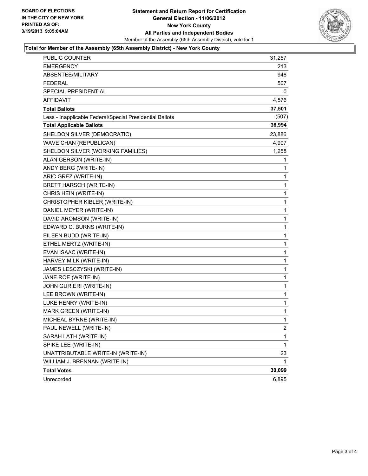

#### **Total for Member of the Assembly (65th Assembly District) - New York County**

| <b>PUBLIC COUNTER</b>                                    | 31,257         |
|----------------------------------------------------------|----------------|
| <b>EMERGENCY</b>                                         | 213            |
| ABSENTEE/MILITARY                                        | 948            |
| FEDERAL                                                  | 507            |
| SPECIAL PRESIDENTIAL                                     | 0              |
| AFFIDAVIT                                                | 4,576          |
| <b>Total Ballots</b>                                     | 37,501         |
| Less - Inapplicable Federal/Special Presidential Ballots | (507)          |
| <b>Total Applicable Ballots</b>                          | 36,994         |
| SHELDON SILVER (DEMOCRATIC)                              | 23,886         |
| WAVE CHAN (REPUBLICAN)                                   | 4,907          |
| SHELDON SILVER (WORKING FAMILIES)                        | 1,258          |
| ALAN GERSON (WRITE-IN)                                   | 1              |
| ANDY BERG (WRITE-IN)                                     | 1              |
| ARIC GREZ (WRITE-IN)                                     | 1              |
| BRETT HARSCH (WRITE-IN)                                  | 1              |
| CHRIS HEIN (WRITE-IN)                                    | 1              |
| CHRISTOPHER KIBLER (WRITE-IN)                            | 1              |
| DANIEL MEYER (WRITE-IN)                                  | 1              |
| DAVID AROMSON (WRITE-IN)                                 | 1              |
| EDWARD C. BURNS (WRITE-IN)                               | 1              |
| EILEEN BUDD (WRITE-IN)                                   | 1              |
| ETHEL MERTZ (WRITE-IN)                                   | 1              |
| EVAN ISAAC (WRITE-IN)                                    | 1              |
| HARVEY MILK (WRITE-IN)                                   | 1              |
| JAMES LESCZYSKI (WRITE-IN)                               | 1              |
| JANE ROE (WRITE-IN)                                      | 1              |
| JOHN GURIERI (WRITE-IN)                                  | 1              |
| LEE BROWN (WRITE-IN)                                     | 1              |
| LUKE HENRY (WRITE-IN)                                    | 1              |
| MARK GREEN (WRITE-IN)                                    | 1              |
| MICHEAL BYRNE (WRITE-IN)                                 | 1              |
| PAUL NEWELL (WRITE-IN)                                   | $\overline{c}$ |
| SARAH LATH (WRITE-IN)                                    | 1              |
| SPIKE LEE (WRITE-IN)                                     | 1              |
| UNATTRIBUTABLE WRITE-IN (WRITE-IN)                       | 23             |
| WILLIAM J. BRENNAN (WRITE-IN)                            | 1              |
| <b>Total Votes</b>                                       | 30,099         |
| Unrecorded                                               | 6,895          |